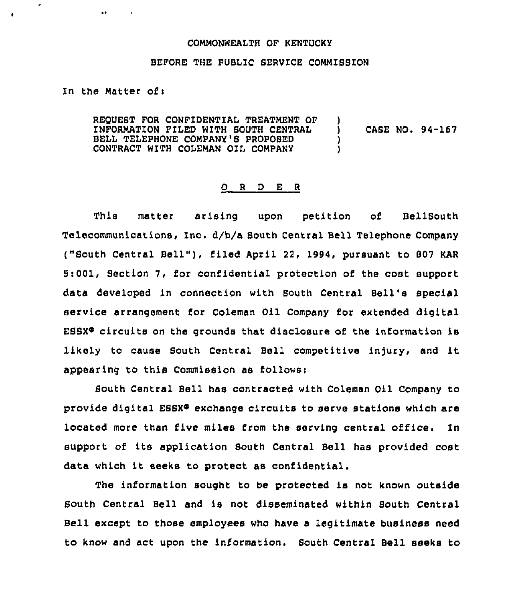## COMMONWEALTH OF KENTUCKY

## BEFORE THE PUBLIC SERVICE COMMIBSION

In the Matter ofi

 $\bullet$ 

 $\mathbf{r}$ 

 $\overline{\phantom{a}}$ 

REQUEST FOR CONFIDENTIAL TREATMENT QF 1NFORMATION FILED WITH SOUTH CENTRAL BELL TELEPHONE COMPANY'8 PROPOSED CONTRACT WITH COLEMAN OIL COMPANY ) ) CASE NO. 94-167 ) )

## O R D E R

This matter arising upon petition of BellSouth Telecommunications, Inc. d/b/a South Central Bell Telephone Company ("South Central Bell"), filed April 22, 1994, pursuant to 807 KAR 5:001, Section 7, for confidential protection of the cost support data developed in connection with Bouth Central Bell's special service arrangement for Coleman Oil Company for extended digital  $ESSX<sup>®</sup>$  circuits on the grounds that disclosure of the information is likely to cause South Central Bell competitive injury, and it appearing to this Commission as followsi

South Central Bell has contracted with Coleman Oil Company to provide digital ESSX $\Phi$  exchange circuits to serve stations which are located more than five miles from the serving central office. ln support of its application South Central Bell has provided cost data which it seeks to protect as confidential.

The information sought to be protected is not known outside Bouth Central Bell and is not disseminated within Bouth Central Bell except to those employees who have a legitimate business need to know and act upon the information. South Central Bell seeks to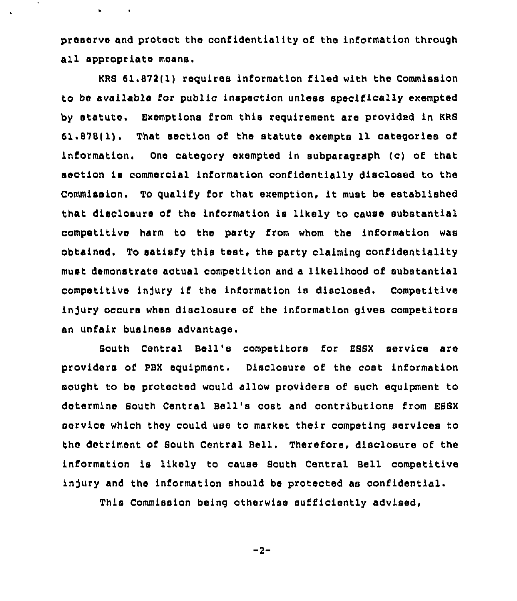preserve and protect the confidentiality of the information through all appropriate means.

 $\sim 100$ 

 $\bullet$ 

KRS 61.872(1) requires information filed with the Commission to be available for public inspection unless specifically exempted by statute. Exemptions from this requirement are provided in KRS 61.878(1). That section of the statute exempts 11 categories of information. One category exempted in subparagraph (c) of that section is commercial information confidentially disclosed to the Commission. To qualify for that exemption, it must be established that disclosure of the information is likely to cause substantial competitive harm to the party from whom the information was obtained. To satisfy this test, the party claiming confidentiality must demonstrate actual competition and a likelihood of substantial competitive in]ury if the information is disclosed. Competitive injury occurs when disclosure of the information gives competitors an unfair business advantage.

South Central Bell's competitors for ESSX service are providers of PBX equipment. Disclosure of the cost information sought to be protected would allow providers of such equipment to determine South Central Bell's cost and contributions from ESBX service which they could use to market their competing services to the detriment of South Central Bell. Therefore, disclosure of the information is likely to cause South Central Bell competitive infury and the information should be protected as confidential.

This Commission being otherwise sufficiently advised,

 $-2-$